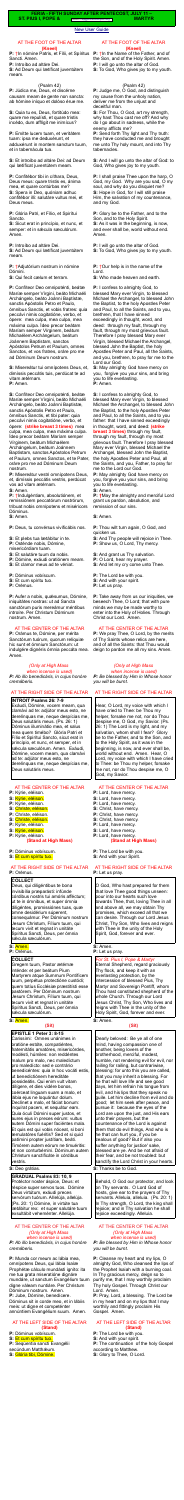#### [New User Guide](http://www.extraordinaryform.org/masses/NewUserGuide.pdf)

**FERIA - FIFTH SUNDAY AFTER PENTECOST, JULY 11 –**

**ST. PIUS I, POPE &** Errors? [help@extraordinaryform.org](mailto:help@extraordinaryform.org) **MARTYR** 

## AT THE FOOT OF THE ALTAR **(Kneel)**

**P:** †In nómine Patris, et Fílii, et Spíritus Sancti. Amen.

**P:** Introíbo ad altáre Dei.

**S:** Ad Deum qui lætíficat juventútem meam.

## (Psalm 42)

**P:** Júdica me, Deus, et discérne causam meam de gente non sancta: ab hómine iníquo et dolóso érue me.

**S:** Quia tu es, Deus, fortitúdo mea: quare me repulísti, et quare tristis incédo, dum afflígit me inimícus?

**P:** Emítte lucem tuam, et veritátem tuam: ipsa me deduxérunt, et adduxérunt in montem sanctum tuum, et in tabernácula tua.

**S:** Et introíbo ad altáre Dei: ad Deum qui lætíficat juventútem meam.

**P:** Confitébor tibi in cíthara, Deus, Deus meus: quare tristis es, ánima mea, et quare contúrbas me? **S:** Spera in Deo, quóniam adhuc confitébor illi: salutáre vultus mei, et Deus meus.

**P:** Glória Patri, et Fílio, et Spirítui Sancto.

**S:** Sicut erat in princípio, et nunc, et semper: et in sæcula sæculórum. Amen.

**P:** Introíbo ad altáre Dei.

**S:** Ad Deum qui lætíficat juventútem meam.

**P:** †Adjutórium nostrum in nómine Dómini.

**S:** Qui fecit cælum et terram.

**P:** Confíteor Deo omnipoténti, beátæ Maríæ semper Vírgini, beáto Michaéli Archángelo, beáto Joánni Baptístæ, sanctis Apóstolis Petro et Paulo, ómnibus Sanctis, et vobis fratres: quia peccávi nimis cogitatióne, verbo, et ópere: mea culpa, mea culpa, mea máxima culpa. Ídeo precor beátam Maríam semper Vírginem, beátum Michaélem Archángelum, beátum Joánnem Baptístam, sanctos Apóstolos Petrum et Paulum, omnes Sanctos, et vos fratres, oráre pro me ad Dóminum Deum nostrum.

**P:** Aufer a nobis, quésumus, Dómine, iniquitátes nostras: ut ad Sancta sanctórum puris mereámur méntibus introíre. Per Christum Dóminum nostrum. Amen.

Exáudi, Dómine, vocem meam, qua clamávi ad te: adjútor meus esto, ne derelínquas me, neque despícias me, Deus salutáris meus. (Ps. 26: 1) Dóminus iiluminátio mea, et salus mea quem timébo? Glória Patri et Fílio et Spirítui Sancto, sicut erat in princípio, et nunc, et semper, et in sæcula sæculórum. Amen. Exáudi,

**S:** Misereátur tui omnípotens Deus, et, dimíssis peccátis tuis, perdúcat te ad

vitam ætérnam. **P:** Amen.

**S:** Confíteor Deo omnipoténti, beátæ Maríæ semper Vírgini, beáto Michaéli Archángelo, beáto Joánni Baptistæ, sanctis Apóstolis Petro et Paulo, ómnibus Sanctis, et tibi pater: quia peccávi nimis cogitatióne, verbo, et ópere: **(strike breast 3 times)** mea culpa, mea culpa, mea máxima culpa. Ídeo precor beátam Maríam semper Vírginem, beátum Michaélem Archángelum, beátum Joánnem Baptístam, sanctos Apóstolos Petrum et Paulum, omnes Sanctos, et te Pater, oráre pro me ad Dóminum Deum nostrum.

Deus, qui diligéntibus te bona invisibília præparásti: infúnde córdibus nostris tui amóris afféctum; ut te in ómnibus, et super ómnia diligéntes, promissiónes tuas, quæ omne desidérium súperent, consequámur. Per Dóminum nostrum Jesum Christum, Fílium tuum, qui tecum vivit et regnat in unitáte Spíritus Sancti, Deus, per ómnia sæcula sæculórum.

Gregem tuum, Pastor ætérnæ inténde: et per beátum Pium Martyrem atque Summum Pontíficem tuum, perpétua protectióne custódi; quem totíus Ecclésiæ præstitísti esse pastórem. Per Dóminum nostrum Jesum Christum, Fílium tuum, qui tecum vivit et regnat in unitáte Spíritus Sancti, Deus, per ómnia sécula sæculórum.

**P:** Misereátur vestri omnípotens Deus, et, dimíssis peccátis vestris, perdúcat vos ad vitam ætérnam.

**S:** Amen.

**P:** †Indulgéntiam, absolutiónem, et remissiónem peccatórum nostrórum, tríbuat nobis omnípotens et miséricors Dóminus.

**S:** Amen.

**P:** Deus, tu convérsus vivificábis nos.

- **S:** Et plebs tua lætábitur in te.
- **P:** Osténde nobis, Dómine,

misericórdiam tuam.

- **S:** Et salutáre tuum da nobis.
- **P:** Dómine, exáudi oratiónem meam.
- **S:** Et clamor meus ad te véniat.

**P:** Dóminus vobíscum.

- **S:** Et cum spíritu tuo.
- **P:** Orémus.

# AT THE CENTER OF THE ALTAR

**P:** Orámus te, Dómine, per mérita Sanctórum tuórum, quorum relíquiæ hic sunt et ómnium Sanctórum: ut indulgére dignéris ómnia peccáta mea. Amen.

*(Only at High Mass* 

*when incense is used) P: Ab illo benedicáris, in cujus honóre cremáberis.*

## AT THE RIGHT SIDE OF THE ALTAR

## **INTROIT Psalms 26: 7-9**

**P:**  $\dagger$ In the Name of the Father, and of the Son, and of the Holy Spirit. Amen. **P:** I will go unto the altar of God. **S:** To God, Who gives joy to my youth.

Dómine, vocem meam, qua clamávi ad te: adjútor meus esto, ne derelínquas me, neque despícias me, Deus salutáris meus.

## AT THE CENTER OF THE ALTAR

- **P:** Kýrie, eléison.
- **S:** Kýrie, eléison.
- **P:** Kýrie, eléison.
- **S:** Christe, eléison.
- **P:** Christe, eléison.
- **S:** Christe, eléison.
- **P:** Kýrie, eléison. **S:** Kýrie, eléison.
- 
- **P:** Kýrie, eléison.

## **(Stand at High Mass)**

# **P:** Dóminus vobíscum.

**S:** Et cum spíritu tuo.

#### AT THE RIGHT SIDE OF THE ALTAR **P:** Orémus.

## **COLLECT**

## **S:** Amen.

**P:** Orémus.

## **COLLECT**

#### **S:** Amen.

# **(Sit)**

## **EPISTLE 1 Peter 3: 8-15**

Carissimi: Omnes unánimes in oratióne estóte, compatiéntes, fraternitátis amatóres, misericórdes, modésti, húmiles: non reddéntes malum pro malo, nec maledíctum pro maledícto: sed e contrário benedicéntes: quia in hoc vocáti estis, ut benedictiónem hereditáte possideátis. Qui enim vult vitam dilígere, et dies vidére bonos, coérceat linguam suam a malo, et lábia ejus ne loquántur dolum. Declínet a malo, et fáciat bonum: inquírat pacem, et sequátur eam. Quia óculi Dómini super justos, et aures ejus in preces eórum: vultus autem Dómini super faciéntes mala.

## AT THE RIGHT SIDE OF THE ALTAR **P:** Let us pray.

| aatonn Donnin oapol laoiontoo mala.   |
|---------------------------------------|
| Et quis est qui vobis nóceat, si boni |
| æmulatóres fuéritis? Sed et si quid   |
| patímini propter justítiam, beáti.    |
| Timórem autem eórum ne timuéritis:    |
| et non conturbémini. Dóminum autem    |
| Christum sanctificáte in córdibus     |
| vestris.                              |

#### **S:** Amen. **P:** Let us pray.

#### **S:** Deo grátias.

**GRADUAL Psalms 83: 10, 9** Protéctor noster áspice, Deus: et réspice super servos tuos. Dómine Deus virtútum, exáudi preces servórum tuórum. AIIeIúja, allelúja. (Ps. 20: 1) Dómine, in virtúte tua lætábitur rex: et super salutáre tuum exsultábit veheménter. Allelúja.

#### AT THE CENTER OF THE ALTAR *(Only at High Mass when incense is used)*

*P: Ab illo benedicáris, in cujus honóre cremáberis.*

**P:** Munda cor meum ac lábia mea, omnípotens Deus, qui lábia Isaíæ Prophétæ cálculo mundásti igníto: ita me tua grata miseratióne dignáre mundáre, ut sanctum Evangélium tuum digne váleam nuntiáre. Per Christum Dóminum nostrum. Amen. **P:** Jube, Dómine, benedícere. Dóminus sit in corde meo, et in lábiis meis: ut digne et competénter annúntiem Evangélium suum. Amen.

#### AT THE LEFT SIDE OF THE ALTAR **(Stand)**

**P:** Dóminus vobíscum.

#### **S:** Et cum spíritu tuo.

**P:** Seqúentia sancti Evangélii secúndum Matthæum. **S:** Glória tibi, Dómine.

## AT THE FOOT OF THE ALTAR **(Kneel)**

## (Psalm 42)

**P:** Judge me, O God, and distinguish my cause from the unholy nation, deliver me from the unjust and deceitful man.

**S:** For Thou, O God, art my strength, why hast Thou cast me off? And why do I go about in sadness, while the enemy afflicts me?

**P:** Send forth Thy light and Thy truth: they have conducted me and brought me unto Thy holy mount, and into Thy tabernacles.

**S:** And I will go unto the altar of God: to God, Who gives joy to my youth.

**P:** I shall praise Thee upon the harp, O God, my God. Why are you sad, O my soul, and why do you disquiet me? **S:** Hope in God, for I will still praise Him, the salvation of my countenance, and my God.

**P:** Glory be to the Father, and to the Son, and to the Holy Spirit. **S:** As it was in the beginning, is now, and ever shall be, world without end. Amen.

**P:** I will go unto the altar of God. **S:** To God, Who gives joy to my youth.

**P:** †Our help is in the name of the Lord.

**S:** Who made heaven and earth.

**P:** I confess to almighty God, to blessed Mary ever Virgin, to blessed Michael the Archangel, to blessed John the Baptist, to the holy Apostles Peter and Paul, to all the Saints, and to you, brethren, that I have sinned exceedingly in thought, word, and deed: through my fault, through my fault, through my most grievous fault. Therefore I pray blessed Mary ever Virgin, blessed Michael the Archangel, blessed John the Baptist, the holy Apostles Peter and Paul, all the Saints, and you, brethren, to pray for me to the Lord our God.

**S:** May almighty God have mercy on you, forgive you your sins, and bring you to life everlasting. **P:** Amen.

**S:** I confess to almighty God, to blessed Mary ever Virgin, to blessed Michael the Archangel, to blessed John the Baptist, to the holy Apostles Peter and Paul, to all the Saints, and to you father: that I have sinned exceedingly in thought, word, and deed: **(strike breast 3 times)** through my fault, through my fault, through my most grievous fault. Therefore I pray blessed Mary ever Virgin, blessed Michael the Archangel, blessed John the Baptist, the holy Apostles Peter and Paul, all the Saints, and you, Father, to pray for me to the Lord our God.

**P:** May almighty God have mercy on you, forgive you your sins, and bring you to life everlasting. **S:** Amen.

**P: †**May the almighty and merciful Lord grant us pardon, absolution, and remission of our sins.

**S:** Amen.

**P:** Thou wilt turn again, O God, and quicken us.

- **S:** And Thy people will rejoice in Thee.
- **P:** Show us, O Lord, Thy mercy.
- **S:** And grant us Thy salvation.
- **P:** O Lord, hear my prayer.
- **S:** And let my cry come unto Thee.
- **P:** The Lord be with you.
- **S:** And with your spirit.
- **P:** Let us pray.

**P:** Take away from us our iniquities, we beseech Thee, O Lord; that with pure minds we may be made worthy to enter into the Holy of Holies. Through Christ our Lord. Amen.

## AT THE CENTER OF THE ALTAR

**P:** We pray Thee, O Lord, by the merits of Thy Saints whose relics are here, and of all the Saints: that Thou would deign to pardon me all my sins. Amen.

# *(Only at High Mass*

 *when incense is used)*

*P: Be blessed by Him in Whose honor you will be burnt.*

## AT THE RIGHT SIDE OF THE ALTAR

Hear, O Lord, my voice with which l have cried to Thee: be Thou my helper, forsake me not, nor do Thou despise me, O God, my Savior. (Ps. 26: 1) The Lord is my light, and my salvation, whom shall I fear? Glory be to the Father, and to the Son, and to the Holy Spirit, as it was in the beginning, is now, and ever shall be, world without end. Amen. Hear, O Lord, my voice with which l have cried to Thee: be Thou my helper, forsake me not, nor do Thou despise me, O God, my Savior.

## AT THE CENTER OF THE ALTAR

- **P:** Lord, have mercy.
- **S:** Lord, have mercy.
- **P:** Lord, have mercy.
- **S:** Christ, have mercy.
- **P:** Christ, have mercy.
- **S:** Christ, have mercy.
- **P:** Lord, have mercy.
- **S:** Lord, have mercy. **P:** Lord, have mercy.

# **(Stand at High Mass)**

**P:** The Lord be with you.

**S:** And with your Spirit.

O God, Who hast prepared for them that love Thee good things unseen: pour into our hearts such love towards Thee, that, loving Thee in all and above all, we may obtain Thy promises, which exceed all that we can desire. Through our Lord Jesus Christ, Thy Son, Who lives and reigns with Thee in the unity of the Holy Spirit, God, forever and ever.

*For St. Pius I, Pope & Martyr* Eternal Shepherd, regard graciously Thy flock, and keep it with an everlasting protection, by the intercession of blessed Pius, Thy Martyr and Sovereign Pontiff, whom Thou hast constituted shepherd of the whole Church. Through our Lord Jesus Christ, Thy Son, Who lives and reigns with Thee in the unity of the Holy Spirit, God, forever and ever.

# **S:** Amen.

# **(Sit)**

Dearly beloved: Be ye all of one mind, having compassion one of another, being lovers of the brotherhood, merciful, modest, humble, not rendering evil for evil, nor railing for railing, but contrariwise, blessing: for unto this you are called, that you may inherit a blessing. For he that will love life and see good days, let him refrain his tongue from evil, and his lips that they speak no guile. Let him decline from evil and do good; let him seek after peace, and pursue it: because the eyes of the Lord are upon the just, and His ears unto their prayers, but the countenance of the Lord is against them that do evil things, And who is he that can hurt you, if you be zealous of good? But if also you suffer anything for justice' sake, blessed are ye. And be not afraid of their fear, and be not troubled: but sanctify the Lord Christ in your hearts.

**S:** Thanks be to God.

Behold, O God our protector, and look on Thy servants. O Lord God of hosts, give ear to the prayers of Thy servants. Alleluia, alleluia. (Ps. 20: 1) In Thy strength, O Lord, the king shall rejoice; and in Thy salvation he shall rejoice exceedingly. Alleluia.

#### AT THE CENTER OF THE ALTAR *(Only at High Mass when incense is used)*

*P: Be blessed by Him in Whose honor you will be burnt.*

**P:** Cleanse my heart and my lips, O almighty God, Who cleansed the lips of the Prophet Isaiah with a burning coal. In Thy gracious mercy, deign so to purify me, that I may worthily proclaim Thy holy Gospel. Through Christ our Lord. Amen.

**P:** Pray, Lord, a blessing. The Lord be in my heart and on my lips that I may worthily and fittingly proclaim His Gospel. Amen.

## AT THE LEFT SIDE OF THE ALTAR **(Stand)**

- **P:** The Lord be with you.
- **S:** And with your spirit.

**P:** The continuation of the holy Gospel according to Matthew.

**S:** Glory to Thee, O Lord.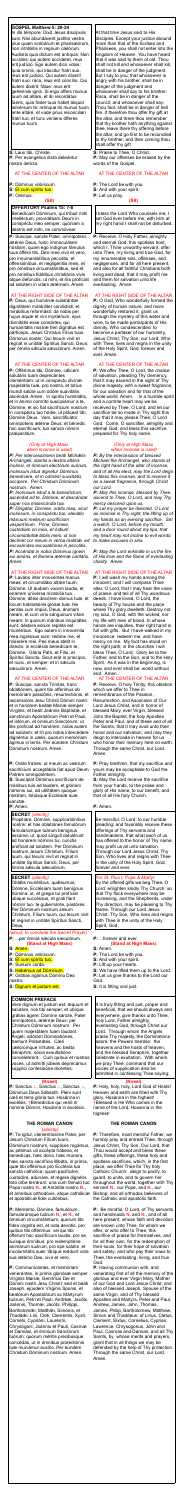## **GOSPEL Matthew 5: 20-24**

In illo témpore: Dixit Jesus discípulis suis: Nisi abundáverit justítia vestra plus quam scribárum et pharisæórum, non intrábitis in regnum cælórum. Audístis quia dictum est antíquis: Non occídes: qui autem occíderet, reus erit judício. Ego autem dico vobis: quia omnis, qui iráscitur fratri suo, reus erit judício. Qui autem díxerit fratri suo: raca, reus erit concílio. Qui autem dixérit: fátue: reus erit gehénnæ ignis. Si ergo offers munus tuum ad altáre, et ibi recordátus fúeris, quia frater tuus habet áliquid advérsum te: relínque ibi munus tuum ante altáre, et vade prius reconciliári fratri tuo: et tunc véniens ófferes munus tuum.

**S:** Laus tibi, Christe. **P:** Per evangélica dicta deleántur nostra delícta.

# AT THE CENTER OF THE ALTAR

**P:** Dóminus vobíscum.

- **S:** Et cum spíritu tuo.
- **P:** Orémus.

# **(Sit)**

## **OFFERTORY Psalms 15: 7-8**

Benedícam Dóminum, qui tríbuit mihi intelléctum: providébam Deum in conspéctu meo semper: quóniam a dextris est mihi, ne commóvear.

**P:** Súscipe, sancte Pater, omnípotens ætérne Deus, hanc immaculátam hóstiam, quam ego indígnus fámulus tuus óffero tibi, Deo meo vivo et vero, pro innumerabílibus peccátis, et offensiónibus, et negligéntiis meis, et pro ómnibus circumstántibus, sed et pro ómnibus fidélibus christiánis vivis atque defúnctis: ut mihi, et illis profíciat ad salútem in vitam ætérnam. Amen.

## AT THE RIGHT SIDE OF THE ALTAR

**P:** Deus, qui humánæ substántiæ dignitátem mirabíliter condidísti, et mirabílius reformásti: da nobis per hujus aquæ et vini mystérium, ejus divinitátis esse consórtes, qui humanitátis nostræ fíeri dignátus est párticeps, Jesus Christus Fílius tuus Dóminus noster: Qui tecum vivit et regnat in unitáte Spíritus Sancti, Deus: per ómnia sǽcula sæculórum. Amen.

# AT THE CENTER OF THE ALTAR

**P:** Offérimus tibi, Dómine, cálicem salutáris tuam deprecántes cleméntiam: ut in conspéctu divínæ majestátis tuæ, pro nostra, et totíus mundi salúte cum odóre suavitátis ascéndat. Amen. In spíritu humilitátis, et in ánimo contríto suscipiámur a te, Dómine, et sic fiat sacrifícium nostrum in conspéctu tuo hódie, ut pláceat tibi, Dómine Deus. Veni, sanctificátor omnípotens ætérne Deus: et bénedic hoc sacrifícium, tuo sancto nómini præparátum.

#### *(Only at High Mass when incense is used)*

*P: Per intercessiónem beáti Michǽlis Archángeli, stantis a dextris altáris incénsi, et ómnium electórum suórum, incénsum istud dignétur Dóminus benedícere, et in odórem suavitátis accípere. Per Christum Dóminum nostrum. Amen.*

*P: Incénsum istud a te benedíctum, ascéndat ad te, Dómine, et descéndat super nos misericórdia tua. P: Dirigátur, Dómine, orátio mea, sicut incénsum, in conspéctu tuo: elev*á*tio m*á*nuum me*á*rum sacrifícium vespertínum. Pone, Dómine, custódiam ori meo, et óstium circumstántiæ l*á*biis meis: ut non declínet cor meum in verba malítiæ, ad excusándas excusatiónes in peccátis. P: Accéndat in nobis Dóminus ignem sui amóris, et flamma ætérnæ caritátis. Amen.*

#### AT THE RIGHT SIDE OF THE ALTAR

**P:** Lavábo inter innocéntes manus meas: et circumdábo altáre tuum, Dómine: Ut áudiam vocem laudis, et enárrem univérsa mirabília tua. Dómine, diléxi decórem domus tuæ, et locum habitatiónis glóriæ tuæ. Ne perdas cum ímpiis, Deus, ánimam meam, et cum viris sánguinum vitam meam: In quorum mánibus iniquitátes sunt: déxtera eórum repléta est munéribus. Ego autem in innocéntia mea ingréssus sum: rédime me, et miserére mei. Pes meus stetit in dirécto: in ecclésiis benedícam te, Dómine. Glória Patri, et Filio, et Spirítui Sancto. Sicut erat in princípio, et nunc, et semper: et in sécula sæculórum. Amen.

## AT THE CENTER OF THE ALTAR

**P:** Súscipe, sancta Trínitas, hanc oblatiónem, quam tibi offérimus ob memóriam passiónis, resurrectiónis, et ascensiónis Jesu Christi Dómini nostri: et in honórem beátæ Maríæ semper Vírginis, et beáti Joánnis Baptístæ, et sanctórum Apostolórum Petri et Pauli, et istórum, et ómnium Sanctórum: ut illis profíciat ad honórem, nobis autem ad salútem: et illi pro nobis intercédere dignéntur in cælis, quorum memóriam ágimus in terris. Per eúndem Christum Dóminum nostrum. Amen.

**P:** Receive, O Holy Father, almighty and eternal God, this spotless host, which I, Thine unworthy servant, offer unto Thee, my living and true God, for my innumerable sins, offenses, and negligences, and for all here present; and also for all faithful Christians both living and dead, that it may profit me and them for salvation unto life everlasting. Amen.

Dóminus Deus Sábaoth. Pleni sunt cæli et terra glória tua. Hosánna in excélsis. †Benedíctus qui venit in nómine Dómini. Hosánna in excélsis.

#### **THE ROMAN CANON** *(silently)*

**P:** Te ígitur, clementíssime Pater, per Jesum Christum Fílium tuum, Dóminum nostrum, súpplices rogámus, ac pétimus uti accépta hábeas, et benedícas, hæc dona, hæc múnera, hæc sancta sacrifícia illibáta, in primis, quæ tibi offérimus pro Ecclésia tua sancta cathólica: quam pacificáre, custodíre, adunáre, et régere dignéris toto orbe terrárum: una cum fámulo tuo Papa nostro **N.**, et Antístite nostro **N.,** et ómnibus orthodóxis, atque cathólicæ et apostólicæ fidei cultóribus.

**P:** Meménto, Dómine, famulórum, famularúmque tuárum **N.**, et **N.**, et ómnium circumstántium, quorum tibi fides cógnita est, et nota devótio, pro quibus tibi offérimus: vel qui tibi ófferunt hoc sacrifícium laudis, pro se, suísque ómnibus: pro redemptióne animárum suárum, pro spe salútis et incolumitátis suæ: tibíque reddunt vota sua ætérno Deo, vivo et vero.

**P:** Communicántes, et memóriam venerántes, in primis gloriósæ semper Vírginis Maríæ, Genitrícis Dei et Dómini nostri Jesu Christi: sed et beáti Joseph, ejúsdem Vírginis Sponsi, et beatórum Apostolórum ac Mártyrum tuórum, Petri et Pauli, Andréæ, Jacóbi, Joánnis, Thomæ, Jacóbi, Philíppi, Bartholomǽi, Matthǽi, Simónis, et Thaddǽi: Lini, Cleti, Cleméntis, Xysti, Cornélii, Cypriáni, Lauréntii, Chrysógoni, Joánnis et Pauli, Cosmæ et Damiáni, et ómnium Sanctórum tuórum; quorum méritis precibúsque concédas, ut in ómnibus protectiónis tuæ muniámur auxílio. Per eúndem Christum Dóminum nostrum. Amen.

At that time Jesus said to His disciples: Except your justice abound more than that of the Scribes and Pharisees, you shall not enter into the kingdom of Heaven. You have heard that it was said to them of old: Thou shalt not kill and whosoever shall kill, shall be in danger of the judgment. But I say to you, that whosoever is angry with his brother, shall be in danger of the judgment and whosoever shall say to his brother: Raca, shall be in danger of the council; and whosoever shall say: Thou fool, shalt be in danger of hell fire. If therefore thou offer thy gift at the altar, and there thou remember that thy brother hath anything against thee, leave there thy offering before the altar, and go first to be reconciled to thy brother; and then coming thou shalt offer thy gift.

**S:** Praise to Thee, O Christ. **P:** May our offenses be erased by the words of the Gospel.

# AT THE CENTER OF THE ALTAR

**P:** The Lord be with you.

**S:** And with your spirit. **P:** Let us pray.

# **(Sit)**

I bless the Lord Who counsels me; I set God ever before me; with Him at my right hand I shall not be disturbed.

**P:** Oráte fratres: ut meum ac vestrum sacrifícium acceptábile fiat apud Deum Patrem omnipoténtem. **S:** Suscípiat Dóminus sacrifícium de mánibus tuis ad laudem, et glóriam nóminis sui, ad utilitátem quoque nostram, totiúsque Ecclésiæ suæ sanctæ. **P:** Amen. **SECRET** *(silently)* Propitiáre, Dómine, supplicatiónibus nostris: et has oblatiónes famulórum famularúmque tuárum benígnus assúme; ut, quod sínguli obtulérunt ad honórem nóminis tui, cunctis profíciat ad salútem. Per Dóminum nostrum Jesum Christum, Fílium tuum, qui tecum vivit et regnat in unitáte Spíritus Sancti, Deus, per ómnia sæcula sæculórum. **SECRET** *(silently)* Oblátis munéribus, quæsumus, Dómine, Ecclésiam tuam benígnus illúmina: ut, et gregis tui profíciat ubique succéssus, et grati fiant nómini tuo, te gubernánte, pastóres. Per Dóminum nostrum Jesum Christum, Fílium tuum, qui tecum vivit et regnat in unitáte Spíritus Sancti, Deus, *(aloud, to conclude the Secret Prayer)* P: ...per ómnia sæcula sæculórum. **(Stand at High Mass) S:** Amen. **P:** Dóminus vobíscum. **S:** Et cum spíritu tuo. **P:** Sursum corda. **S:** Habémus ad Dóminum. **P:** Grátias agámus Dómino Deo nostro. **S:** Dignum et justum est. **COMMON PREFACE** Vere dignum et justum est, æquum et salutáre, nos tibi semper, et ubíque grátias ágere: Dómine sancte, Pater omnípotens, ætérnæ Deus: per Christum Dóminum nostrum. Per quem majestátem tuam laudant Ángeli, adórant Dominatiónes, tremunt Potestátes. Cæli cælorúmque Virtútes, ac beáta Séraphim, sócia exsultatióne concélebrant. Cum quibus et nostras voces, ut admítti júbeas deprecámur, súpplici confessióne dicéntes: **(Kneel) P:** Sanctus *a*, Sanctus *a*, Sanctus *a*, Amen. **P:** Pray brethren, that my sacrifice and yours may be acceptable to God the Father almighty. **S:** May the Lord receive the sacrifice from your hands, to the praise and glory of His name, to our benefit, and that of all His holy Church. **P:** Amen. Be merciful, O Lord, to our humble pleading: and favorably receive these offerings of Thy servants and handmaidens, that what each of us has offered to the honor of Thy name, may profit us all unto salvation. Through our Lord Jesus Christ, Thy Son, Who lives and reigns with Thee in the unity of the Holy Spirit, God, forever and ever. *For St. Pius I, Pope & Martyr* By the offered gifts we beg Thee, O Lord: enlighten kindly Thy Church: so that Thy flock everywhere may be increasing, and the Shepherds, under Thy direction, may be pleasing to Thy Name. Through our Lord Jesus Christ, Thy Son, Who lives and reigns with Thee in the unity of the Holy Spirit, God, **P:** ...forever and ever. **(Stand at High Mass) S:** Amen. **P:** The Lord be with you. **S:** And with your spirit. **P:** Lift up your hearts. **S:** We have lifted them up to the Lord. **P:** Let us give thanks to the Lord our God. **S:** It is fitting and just. It is truly fitting and just, proper and beneficial, that we should always and everywhere, give thanks unto Thee, holy Lord, Father almighty, everlasting God, through Christ our Lord. Through whom the Angels praise Thy majesty, the Dominations adore, the Powers tremble: the heavens and the hosts of heaven, and the blessed Seraphim, together celebrate in exultation. With whom, we pray Thee, command that our voices of supplication also be admitted in confessing Thee saying: **(Kneel) P:** Holy, holy, holy, Lord God of Hosts!

# AT THE RIGHT SIDE OF THE ALTAR

**P:** O God, Who wonderfully formed the dignity of human nature, and more wonderfully restored it, grant us through the mystery of this water and wine, to be made participants of His divinity, Who condescended to become a partaker of our humanity, Jesus Christ, Thy Son, our Lord, Who with Thee, lives and reigns in the unity of the Holy Spirit, God, forever and ever. Amen.

## AT THE CENTER OF THE ALTAR

**P:** We offer Thee, O Lord, the chalice of salvation, pleading Thy clemency, that it may ascend in the sight of Thy divine majesty, with a sweet fragrance, for our salvation and for that of the whole world. Amen. In a humble spirit and a contrite heart may we be received by Thee, O Lord, and let our sacrifice be so made in Thy sight this day that it may please Thee, O Lord God. Come, O sanctifier, almighty and eternal God, and bless this sacrifice prepared for Thy holy name.

#### *(Only at High Mass when incense is used)*

*P: By the intercession of blessed Michael the Archangel, who stands at the right hand of the altar of incense, and of all His elect, may the Lord deign to bless this incense, and to receive it as a sweet fragrance, through Christ our Lord.*

*P: May this incense, blessed by Thee, ascend to Thee, O Lord, and may Thy mercy descend upon us.*

*P: Let my prayer be directed, O Lord, as incense in Thy sight, the lifting up of my hands as an evening sacrifice. Set a watch, O Lord, before my mouth: and a door round about my lips: that my heart may not incline to evil words: to make excuses in sins.*

*P: May the Lord enkindle in us the fire of His love and the flame of everlasting charity. Amen.*

## AT THE RIGHT SIDE OF THE ALTAR

**P:** I will wash my hands among the innocent, and I will compass Thine altar, O Lord, that I may hear the voice of praise: and tell of all Thy wondrous deeds. I have loved, O Lord, the beauty of Thy house and the place where Thy glory dwelleth. Destroy not my soul, O God, with the wicked, nor my life with men of blood. In whose hands are iniquities, their right hand is full with gifts. But I have walked in my innocence: redeem me, and have mercy on me. My foot has stood on the right path; in the churches I will bless Thee, O Lord. Glory be to the Father, and to the Son, and to the Holy Spirit. As it was in the beginning, is now, and ever shall be, world without end. Amen.

AT THE CENTER OF THE ALTAR **P:** Receive, O holy Trinity, this oblation which we offer to Thee in remembrance of the Passion, Resurrection, and Ascension of Our Lord Jesus Christ, and in honor of blessed Mary, ever Virgin, blessed John the Baptist, the holy Apostles Peter and Paul, and of these and of all the Saints; that it may avail unto their honor and our salvation, and may they deign to intercede in heaven for us who honor their memory here on earth. Through the same Christ, our Lord.

Heaven and earth are filled with Thy

glory. Hosanna in the highest!

†Blessed is He Who comes in the

name of the Lord. Hosanna in the

highest!

# **THE ROMAN CANON**

**P:** Therefore, most merciful Father, we humbly pray and entreat Thee, through Jesus Christ, Thy Son, Our Lord, that Thou would accept and bless these gifts, these offerings, these holy and spotless sacrifices, which, in the first place, we offer Thee for Thy holy Catholic Church: deign to pacify, to guard, to unite, and to govern her throughout the world, together with Thy servant **N.**, our Pope, and **N.**, our Bishop; and all orthodox believers of the Catholic and apostolic faith.

**P:** Be mindful, O Lord, of Thy servants and handmaids **N.** and **N.**, and of all here present, whose faith and devotion are known unto Thee, for whom we offer, or who offer to Thee, this sacrifice of praise for themselves, and for all their own, for the redemption of their souls, for their hope of salvation and safety; and who pay their vows to Thee, the everlasting, living, and true God.

**P:** Having communion with, and venerating first of all the memory of the glorious and ever Virgin Mary, Mother of our God and Lord Jesus Christ; and also of blessed Joseph, Spouse of the same Virgin, and of Thy blessed Apostles and Martyrs, Peter and Paul, Andrew, James, John, Thomas, James, Philip, Bartholomew, Matthew, Simon and Thaddeus; of Linus, Cletus, Clement, Sixtus, Cornelius, Cyprian, Lawrence, Chrysogonus, John and Paul, Cosmas and Damian, and all Thy Saints, by whose merits and prayers, grant that in all things we may be defended by the help of Thy protection. Through the same Christ, our Lord. Amen.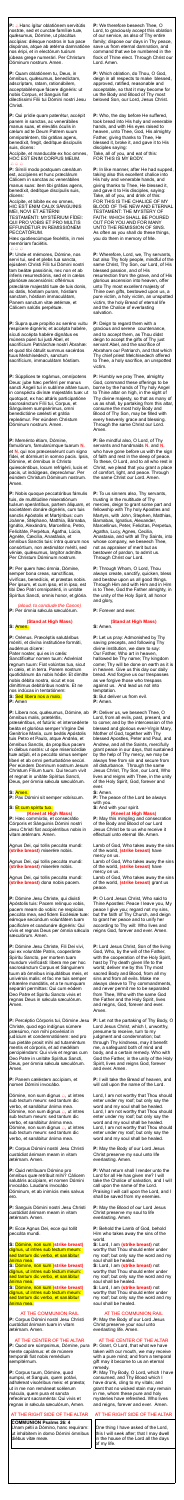**P:**  $\triangle$  Hanc ígitur oblatiónem servitútis nostræ, sed et cunctæ famíliæ tuæ, quǽsumus, Dómine, ut placátus accípias: diésque nostros in tua pace dispónas, atque ab ætérna damnatióne nos éripi, et in electórum tuórum júbeas grege numerári. Per Christum Dóminum nostrum. Amen.

Accípite, et manducáte ex hoc omnes, HOC EST ENIM CORPUS MEUM.  $\bigcirc$ 

**P:** Quam oblatiónem tu, Deus, in ómnibus, quésumus, benedíctam, adscríptam, ratam, rationábilem, acceptabilémque fácere dignéris: ut nobis Corpus, et Sanguis fiat dilectíssimi Fílii tui Dómini nostri Jesu Christi.

**P:** Qui prídie quam paterétur, accépit panem in sanctas, ac venerábiles manus suas, et elevátis óculis in cælum ad te Deum Patrem suum omnipoténtem, tibi grátias agens, benedíxit, fregit, dedítque discípulis suis, dicens:

**P:** Símili modo postquam cænátum est, accípiens et hunc præclárum Cálicem in sanctas ac venerábiles manus suas: item tibi grátias agens, benedíxit, dedítque discípulis suis, dicens:

Accípite, et bíbite ex eo omnes, HIC EST ENIM CALIX SÁNGUINIS MEI, NOVI ET AETÉRNI

TESTAMÉNTI: MYSTÉRIUM FÍDEI: QUI PRO VOBIS ET PRO MULTIS EFFUNDÉTUR IN REMISSIÓNEM PECCATÓRUM.

Hæc quotiescúmque fecéritis, in mei memóriam faciétis.

#### $A A A$

**P:** Unde et mémores, Dómine, nos servi tui, sed et plebs tua sancta, ejúsdem Christi Fílii tui Dómini nostri tam beátæ passiónis, nec non et ab ínferis resurrectiónis, sed et in cælos gloriósæ ascensiónis: offérimus præcláræ majestáti tuæ de tuis donis, ac datis, hóstiam puram, hóstiam sanctam, hóstiam immaculátam, Panem sanctum vitæ ætérnæ, et Cálicem salútis perpétuæ.

*(aloud, to conclude the Canon)* **P:** Per ómnia sæcula sæculórum.

**P:** Supra quæ propítio ac seréno vultu respícere dignéris; et accépta habére, sícuti accépta habére dignátus es múnera púeri tui justi Abel, et sacrifícium Patriárchæ nostri Ábrahæ: et quod tibi óbtulit summus sacérdos tuus Melchísedech, sanctum sacrifícium, immaculátam hóstiam.

**P:** Súpplices te rogámus, omnípotens Deus: jube hæc perférri per manus sancti Ángeli tui in sublíme altáre tuum, in conspéctu divínæ majestátis tuæ: ut quotquot, ex hac altáris participatióne sacrosánctum Fílii tui, Corpus, et Sánguinem sumpsérimus, omni benedictióne cælésti et grátia repleámur. Per eúndem Christum Dóminum nostrum. Amen.

**P:** Meménto étiam, Dómine, famulórum, famularúmque tuarum **N.** et **N.** qui nos præcessérunt cum signo fídei, et dórmiunt in somno pacis. Ipsis, Dómine, et ómnibus in Christo quiescéntibus, locum refrigérii, lucis et pacis, ut indúlgeas, deprecámur. Per eúndem Christum Dóminum nostrum. Amen.

**P:** Nobis quoque peccatóribus fámulis tuis, de multitúdine miseratiónum tuárum sperántibus, partem áliquam, et societátem donáre dignéris, cum tuis sanctis Apóstolis et Martýribus: cum Joánne, Stéphano, Matthía, Bárnaba, Ignátio, Alexándro, Marcellíno, Petro, Felicitáte, Perpétua, Ágatha, Lúcia, Agnéte, Cæcília, Anastásia, et ómnibus Sanctis tuis: intra quorum nos consórtium, non æstimátor mériti, sed véniæ, quæsumus, largítor admítte. Per Christum Dóminum nostrum.

Dómine, non sum dignus  $\triangle$ , ut intres sub tectum meum: sed tantum dic verbo, et sanábitur ánima mea. Dómine, non sum dignus  $\triangle$ , ut intres sub tectum meum: sed tantum dic verbo, et sanábitur ánima mea. Dómine, non sum dignus  $\triangle$ , ut intres sub tectum meum: sed tantum dic verbo, et sanábitur ánima mea.

**P:** Per quem hæc ómnia, Dómine, semper bona creas, sanctíficas, vivíficas, benedícis, et præstas nobis. Per ipsum, et cum ipso, et in ipso, est tibi Deo Patri omnipoténti, in unitáte Spíritus Sancti, omnis honor, et glória.

#### **(Stand at High Mass) S:** Amen.

**P:** Orémus. Præcéptis salutáribus móniti, et divína institutióne formáti, audémus dícere:

Pater noster, qui es in cælis: Sanctificétur nomen tuum: Advéniat regnum tuum: Fiat volúntas tua, sicut in cælo, et in terra. Panem nostrum quotidiánum da nobis hódie: Et dimítte nobis débita nostra, sicut et nos dimíttimus debitóribus nostris. Et ne nos indúcas in tentatiónem:

# **S:** Sed líbera nos a malo.

**P:** Amen

**P:** Líbera nos, quésumus, Dómine, ab ómnibus malis, prætéritis, præséntibus, et futúris: et intercedénte beáta et gloriósa semper Vírgine Dei Genitríce María, cum beátis Apóstolis tuis Petro et Paulo, atque Andréa, et ómnibus Sanctis, da propítius pacem in diébus nostris: ut ope misericórdiæ tuæ adjúti, et a peccáto simus semper líberi et ab omni perturbatióne secúri. Per eúndem Dominum nostrum Jesum Christum Fílium tuum. Qui tecum vivit et regnat in unitáte Spíritus Sancti, Deus, per ómnia sæcula sæculórum.

## **S:** Amen.

**P:** Pax Dómini sit semper vobíscum.

## **S:** Et cum spíritu tuo. **(Kneel at High Mass)**

**P:** Hæc commíxtio, et consecrátio Córporis et Sánguinis Dómini nostri Jesu Christi fiat accipiéntibus nobis in vitam ætérnam. Amen.

Agnus Dei, qui tollis peccáta mundi: **(strike breast)** miserére nobis.

Agnus Dei, qui tollis peccáta mundi: **(strike breast)** miserére nobis.

Agnus Dei, qui tollis peccáta mundi: **(strike breast)** dona nobis pacem.

**P:** Dómine Jesu Christe, qui dixísti Apóstolis tuis: Pacem relínquo vobis, pacem meam do vobis: ne respícias peccáta mea, sed fidem Ecclésiæ tuæ: eámque secúndum voluntátem tuam pacificáre et coadunáre dignéris: Qui vivis et regnas Deus per ómnia sæcula sæculórum. Amen.

**P:** Dómine Jesu Christe, Fili Dei vivi, qui ex voluntáte Patris, cooperánte Spíritu Sancto, per mortem tuam mundum vivificásti: líbera me per hoc sacrosánctum Corpus et Sánguinem tuum ab ómnibus iniquitátibus meis, et univérsis malis: et fac me tuis semper inhærére mandátis, et a te numquam separári permíttas: Qui cum eódem Deo Patre et Spiritu Sancto vivis et regnas Deus in sæcula sæculórum. Amen.

**P:** Percéptio Córporis tui, Dómine Jesu Christe, quod ego indígnus súmere præsúmo, non mihi provéniat in judícium et condemnatiónem: sed pro tua pietáte prosit mihi ad tutaméntum mentis et córporis, et ad medélam percipiéndam: Qui vivis et regnas cum Deo Patre in unitáte Spíritus Sancti, Deus, per ómnia sæcula sæculórum. Amen.

**P:** Panem cæléstem accípiam, et nomen Dómini invocábo.

**P:** Corpus Dómini nostri Jesu Christi custódiat ánimam meam in vitam ætérnam. Amen.

**P:** Quid retríbuam Dómino pro ómnibus quæ retríbuit mihi? Cálicem salutáris accípiam, et nomen Dómini invocábo. Laudans invocábo Dóminum, et ab inimícis meis salvus ero.

**P:** Sanguis Dómini nostri Jesu Christi custódiat ánimam meam in vitam ætérnam. Amen.

**P:** Ecce Agnus Dei, ecce qui tollit peccáta mundi.

**S:** Dómine, non sum **(strike breast)** dignus, ut intres sub tectum meum: sed tantum dic verbo, et sanábitur ánima mea.

**S:** Dómine, non sum **(strike breast)**  dignus, ut intres sub tectum meum: sed tantum dic verbo, et sanábitur ánima mea.

**S:** Dómine, non sum **(strike breast)**  dignus, ut intres sub tectum meum: sed tantum dic verbo, et sanábitur ánima mea.

## AT THE COMMUNION RAIL

**P:** Corpus Dómini nostri Jesu Christi custódiat ánimam tuam in vitam ætérnam. Amen.

#### AT THE CENTER OF THE ALTAR

**P:** Quod ore súmpsimus, Dómine, pura mente capiámus: et de múnere temporáli fiat nobis remédium sempitérnum.

**P:** Corpus tuum, Dómine, quod sumpsi, et Sanguis, quem potávi, adhæreat viscéribus meis: et præsta; ut in me non remáneat scélerum mácula, quem pura et sancta refecérunt sacraménta: Qui vivis et regnas in sǽcula sæculórum, Amen.

## AT THE RIGHT SIDE OF THE ALTAR

**COMMUNION Psalms 26: 4** Unam pétii a Dómino, hanc requíram: ut inhábitem in domo Dómini ómnibus diébus vitæ meæ.

**P:** We therefore beseech Thee, O Lord, to graciously accept this oblation of our service, as also of Thy entire family; dispose our days in Thy peace, save us from eternal damnation, and command that we be numbered in the flock of Thine elect. Through Christ our Lord. Amen.

**P:** Which oblation, do Thou, O God, deign in all respects to make blessed, approved, ratified, reasonable and acceptable, so that it may become for us the Body and Blood of Thy most beloved Son, our Lord, Jesus Christ.

**P:** Who, the day before He suffered, took bread into His holy and venerable hands, and with His eyes raised to heaven, unto Thee, God, His almighty Father, giving thanks to Thee, He blessed it, broke it, and gave it to His disciples saying:

Take, all of you, and eat of this: FOR THIS IS MY BODY.

**P:** In like manner, after He had supped, taking also this excellent chalice into His holy and venerable hands, and giving thanks to Thee, He blessed it, and gave it to His disciples, saying: Take, all of you, and drink of this: FOR THIS IS THE CHALICE OF MY BLOOD OF THE NEW AND ETERNAL TESTAMENT: THE MYSTERY OF FAITH: WHICH SHALL BE POURED OUT FOR YOU AND FOR MANY UNTO THE REMISSION OF SINS. As often as you shall do these things, you do them in memory of Me.

**P:** Wherefore, Lord, we, Thy servants, but also Thy holy people, mindful of the same Christ, Thy Son, our Lord, of His blessed passion, and of His resurrection from the grave, and of His glorious ascension into heaven, offer unto Thy most excellent majesty of Thine own gifts, bestowed upon us, a pure victim, a holy victim, an unspotted victim, the holy Bread of eternal life and the Chalice of everlasting salvation.

**P:** Deign to regard them with a gracious and serene countenance, and to accept them, as Thou didst deign to accept the gifts of Thy just servant Abel, and the sacrifice of Abraham our Patriarch, and that which Thy chief priest Melchisedech offered to Thee, a holy sacrifice, an unspotted victim.

**P:** Humbly we pray Thee, almighty God, command these offerings to be borne by the hands of Thy holy Angel to Thine altar on high, in the sight of Thy divine majesty, so that as many of us as shall, by partaking from this altar, consume the most holy Body and Blood of Thy Son, may be filled with every heavenly grace and blessing. Through the same Christ our Lord. Amen.

**P:** Be mindful also, O Lord, of Thy servants and handmaids **N.** and **N.** who have gone before us with the sign of faith and rest in the sleep of peace. To these, O Lord, and to all who rest in Christ, we plead that you grant a place of comfort, light, and peace. Through the same Christ our Lord. Amen.

**P:** To us sinners also, Thy servants, trusting in the multitude of Thy mercies, deign to grant some part and fellowship with Thy holy Apostles and Martyrs, with John, Stephen, Matthias, Barnabas, Ignatius, Alexander, Marcellinus, Peter, Felicitas, Perpetua, Agatha, Lucy, Agnes, Cecilia, Anastasia, and with all Thy Saints, into whose company, we beseech Thee, not as appraiser of merit but as bestower of pardon, to admit us. Through Christ our Lord.

**P:** Through Whom, O Lord, Thou always create, sanctify, quicken, bless and bestow upon us all good things. Through Him and with Him and in Him is to Thee, God the Father almighty, in the unity of the Holy Spirit, all honor and glory,

**P:** Forever and ever.

## **(Stand at High Mass)**

**S:** Amen.

**P:** Let us pray: Admonished by Thy saving precepts, and following Thy divine institution, we dare to say: Our Father, Who art in heaven, hallowed be Thy name; Thy kingdom come; Thy will be done on earth as it is in heaven. Give us this day our daily bread. And forgive us our trespasses as we forgive those who trespass against us. And lead us not into temptation.

**S:** But deliver us from evil. **P:** Amen.

**P:** Deliver us, we beseech Thee, O Lord, from all evils, past, present, and to come; and by the intercession of the blessed and glorious ever-Virgin Mary, Mother of God, together with Thy blessed Apostles, Peter and Paul, and Andrew, and all the Saints, mercifully grant peace in our days, that sustained by the help of Thy mercy, we may be always free from sin and secure from all disturbance. Through the same Jesus Christ, Thy Son, our Lord, Who lives and reigns with Thee, in the unity of the Holy Spirit, God, forever and ever. **S:** Amen.

**P:** The peace of the Lord be always with you.

**S:** And with your spirit.

#### **(Kneel at High Mass)**

**P:** May this mingling and consecration of the Body and Blood of our Lord Jesus Christ be to us who receive it effectual unto eternal life. Amen.

Lamb of God, Who takes away the sins of the world, **(strike breast)** have mercy on us.

Lamb of God, Who takes away the sins of the world, **(strike breast)** have mercy on us.

Lamb of God, Who takes away the sins of the world, **(strike breast)** grant us peace.

**P:** O Lord Jesus Christ, Who said to Thine Apostles: Peace I leave you, My peace I give you; regard not my sins, but the faith of Thy Church, and deign to grant her peace and to unify her according to Thy will: Who lives and reigns God, forever and ever. Amen.

**P:** Lord Jesus Christ, Son of the living God, Who, by the will of the Father, with the cooperation of the Holy Spirit, hast by Thy death given life to the world; deliver me by this Thy most sacred Body and Blood, from all my sins and from all evils. Make me always cleave to Thy commandments, and never permit me to be separated from Thee, Who with the same God the Father and the Holy Spirit, lives and reigns, God, forever and ever. Amen.

**P:** Let not the partaking of Thy Body, O Lord Jesus Christ, which I, unworthy, presume to receive, turn to my judgment and condemnation; but through Thy kindness, may it benefit me, a safeguard both of mind and body, and a certain remedy. Who with God the Father, in the unity of the Holy Spirit, lives and reigns God, forever and ever. Amen.

**P:** I will take the Bread of heaven, and will call upon the name of the Lord.

Lord, I am not worthy that Thou should enter under my roof; but only say the word and my soul shall be healed. Lord, I am not worthy that Thou should enter under my roof; but only say the word and my soul shall be healed. Lord, I am not worthy that Thou should enter under my roof; but only say the word and my soul shall be healed.

**P:** May the Body of our Lord Jesus Christ preserve my soul unto life everlasting. Amen.

**P:** What return shall I render unto the Lord for all He has given me? I will take the Chalice of salvation, and I will call upon the name of the Lord. Praising I will call upon the Lord, and I shall be saved from my enemies.

**P:** May the Blood of our Lord Jesus Christ preserve my soul to life everlasting. Amen.

**P:** Behold the Lamb of God, behold Him who takes away the sins of the world.

**S:** Lord, I am **(strike breast)** not worthy that Thou should enter under my roof; but only say the word and my soul shall be healed.

**S:** Lord, I am **(strike breast)** not worthy that Thou should enter under my roof; but only say the word and my soul shall be healed.

**S:** Lord, I am **(strike breast)** not worthy that Thou should enter under my roof; but only say the word and my soul shall be healed.

## AT THE COMMUNION RAIL

**P:** May the Body of our Lord Jesus Christ preserve your soul unto everlasting life. Amen.

#### AT THE CENTER OF THE ALTAR

**P:** Grant, O Lord, that what we have taken with our mouth, we may receive with a pure mind; and from a temporal gift may it become to us an eternal remedy.

**P:** May Thy Body, O Lord, which I have consumed, and Thy Blood which I have drunk, cling to my vitals; and grant that no wicked stain may remain in me, whom these pure and holy mysteries have refreshed. Who lives and reigns, forever and ever. Amen.

## AT THE RIGHT SIDE OF THE ALTAR

One thing I have asked of the Lord, this I will seek after; that I may dwell in the house of the Lord all the days of my life.